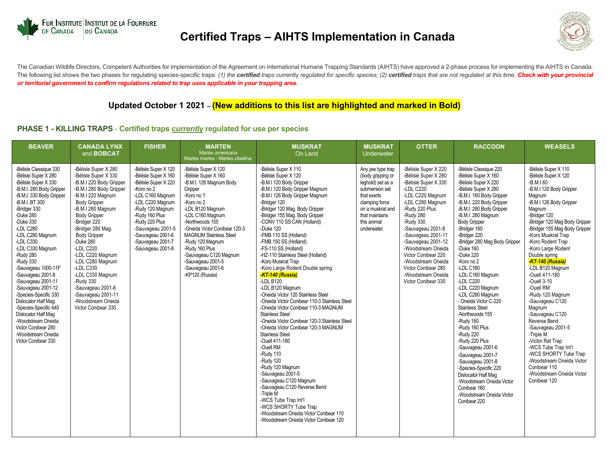

# **Certified Traps – AIHTS Implementation in Canada**



The Canadian Wildlife Directors, Competent Authorities for implementation of the Agreement on International Humane Trapping Standards (AIHTS) have approved a 2-phase process for implementing the AIHTS in Canada. The following list shows the two phases for regulating species-specific traps: (1) the certified traps currently regulated for specific species; (2) certified traps that are not regulated at this time. Check with your prov *or territorial government to confirm regulations related to trap uses applicable in your trapping area.*

## **Updated October 1 2021 – (New additions to this list are highlighted and marked in Bold)**

#### **PHASE 1 - KILLING TRAPS** - **Certified traps** *currently* **regulated for use per species**

| <b>BEAVER</b>                                                                                                                                                                                                                                                                                                                                                                                                                                                                                                                                                            | <b>CANADA LYNX</b><br>and <b>BOBCAT</b>                                                                                                                                                                                                                                                                                                                                                                                                                        | <b>FISHER</b>                                                                                                                                                                                                                                                          | <b>MARTEN</b><br>Martes americana<br>Martes martes - Martes zibellina                                                                                                                                                                                                                                                                                                    | <b>MUSKRAT</b><br>On Land                                                                                                                                                                                                                                                                                                                                                                                                                                                                                                                                                                                                                                                                                                                                                                                                                                                                                                                                                                                                                                                                                        | <b>MUSKRAT</b><br><b>Underwater</b>                                                                                                                                                | <b>OTTER</b>                                                                                                                                                                                                                                                                                                                                                                  | <b>RACCOON</b>                                                                                                                                                                                                                                                                                                                                                                                                                                                                                                                                                                                                                                                                                                                                                                | <b>WEASELS</b>                                                                                                                                                                                                                                                                                                                                                                                                                                                                                                                                                                                                                                                                     |
|--------------------------------------------------------------------------------------------------------------------------------------------------------------------------------------------------------------------------------------------------------------------------------------------------------------------------------------------------------------------------------------------------------------------------------------------------------------------------------------------------------------------------------------------------------------------------|----------------------------------------------------------------------------------------------------------------------------------------------------------------------------------------------------------------------------------------------------------------------------------------------------------------------------------------------------------------------------------------------------------------------------------------------------------------|------------------------------------------------------------------------------------------------------------------------------------------------------------------------------------------------------------------------------------------------------------------------|--------------------------------------------------------------------------------------------------------------------------------------------------------------------------------------------------------------------------------------------------------------------------------------------------------------------------------------------------------------------------|------------------------------------------------------------------------------------------------------------------------------------------------------------------------------------------------------------------------------------------------------------------------------------------------------------------------------------------------------------------------------------------------------------------------------------------------------------------------------------------------------------------------------------------------------------------------------------------------------------------------------------------------------------------------------------------------------------------------------------------------------------------------------------------------------------------------------------------------------------------------------------------------------------------------------------------------------------------------------------------------------------------------------------------------------------------------------------------------------------------|------------------------------------------------------------------------------------------------------------------------------------------------------------------------------------|-------------------------------------------------------------------------------------------------------------------------------------------------------------------------------------------------------------------------------------------------------------------------------------------------------------------------------------------------------------------------------|-------------------------------------------------------------------------------------------------------------------------------------------------------------------------------------------------------------------------------------------------------------------------------------------------------------------------------------------------------------------------------------------------------------------------------------------------------------------------------------------------------------------------------------------------------------------------------------------------------------------------------------------------------------------------------------------------------------------------------------------------------------------------------|------------------------------------------------------------------------------------------------------------------------------------------------------------------------------------------------------------------------------------------------------------------------------------------------------------------------------------------------------------------------------------------------------------------------------------------------------------------------------------------------------------------------------------------------------------------------------------------------------------------------------------------------------------------------------------|
| -Bélisle Classique 330<br>-Bélisle Super X 280<br>-Bélisle Super X 330<br>-B.M.I. 280 Body Gripper<br>-B.M.I. 330 Body Gripper<br>-B.M.I. BT 300<br>-Bridger 330<br>-Duke 280<br>-Duke 330<br>-LDL C280<br>-LDL C280 Magnum<br>-LDL C330<br>-LDL C330 Magnum<br>-Rudy 280<br>-Rudy 330<br>-Sauvageau 1000-11F<br>-Sauvageau 2001-8<br>-Sauvageau 2001-11<br>-Sauvageau 2001-12<br>-Species-Specific 330<br>Dislocator Half Mag<br>-Species-Specific 440<br>Dislocator Half Mag<br>-Woodstream Oneida<br>Victor Conibear 280<br>-Woodstream Oneida<br>Victor Conibear 330 | -Bélisle Super X 280<br>-Bélisle Super X 330<br>-B.M.I 220 Body Gripper<br>-B.M.I 280 Body Gripper<br>-B.M.I 220 Magnum<br><b>Body Gripper</b><br>-B.M.I 280 Magnum<br><b>Body Gripper</b><br>-Bridger 220<br>-Bridger 280 Mag.<br><b>Body Gripper</b><br>-Duke 280<br>-LDL C220<br>-LDL C220 Magnum<br>-LDL C280 Magnum<br>-LDL C330<br>-LDL C330 Magnum<br>-Rudy 330<br>-Sauvageau 2001-8<br>-Sauvageau 2001-11<br>-Woodstream Oneida<br>Victor Conibear 330 | -Bélisle Super X 120<br>-Bélisle Super X 160<br>-Bélisle Super X 220<br>-Koro no 2<br>-LDL C160 Magnum<br>-LDL C220 Magnum<br>-Rudy 120 Magnum<br>-Rudy 160 Plus<br>-Rudy 220 Plus<br>-Sauvageau 2001-5<br>-Sauvageau 2001-6<br>-Sauvageau 2001-7<br>-Sauvageau 2001-8 | -Bélisle Super X 120<br>-Bélisle Super X 160<br>-B.M.I. 126 Magnum Body<br>Gripper<br>-Koro no 1<br>-Koro no 2<br>-LDL B120 Magnum<br>-LDL C160 Magnum<br>-Northwoods 155<br>-Oneida Victor Conibear 120-3<br><b>MAGNUM Stainless Steel</b><br>-Rudy 120 Magnum<br>-Rudy 160 Plus<br>-Sauvageau C120 Magnum<br>-Sauvageau 2001-5<br>-Sauvageau 2001-6<br>-KP120 (Russia) | -Bélisle Super X 110<br>-Bélisle Super X 120<br>-B.M.I 120 Body Gripper<br>-B.M.I 120 Body Gripper Magnum<br>-B.M.I 126 Body Gripper Magnum<br>-Bridger 120<br>-Bridger 120 Mag. Body Gripper<br>-Bridger 155 Mag. Body Gripper<br>-CONV 110 SS CAN (Holland)<br>-Duke 120<br>-FMB 110 SS (Holland)<br>-FMB 150 SS (Holland)<br>-FS-110 SS (Holland)<br>-HZ-110 Stainless Steel (Holland)<br>-Koro Muskrat Trap<br>-Koro Large Rodent Double spring<br>-KT-140 (Russia)<br>$-LDL$ B <sub>120</sub><br>-LDL B120 Magnum<br>-Oneida Victor 120 Stainless Steel<br>-Oneida Victor Conibear 110-3 Stainless Steel<br>-Oneida Victor Conibear 110-3 MAGNUM<br><b>Stainless Steel</b><br>-Oneida Victor Conibear 120-3 Stainless Steel<br>-Oneida Victor Conibear 120-3 MAGNUM<br><b>Stainless Steel</b><br>-Ouell 411-180<br>-Ouell RM<br>-Rudy 110<br>-Rudy 120<br>-Rudy 120 Magnum<br>-Sauvageau 2001-5<br>-Sauvageau C120 Magnum<br>-Sauvageau C120 Reverse Bend<br>-Triple M<br>-WCS Tube Trap Int'l<br>-WCS SHORTY Tube Trap<br>-Woodstream Oneida Victor Conibear 110<br>-Woodstream Oneida Victor Conibear 120 | Any jaw type trap<br>(body gripping or<br>leghold) set as a<br>submersion set<br>that exerts<br>clamping force<br>on a muskrat and<br>that maintains<br>this animal<br>underwater. | -Bélisle Super X 220<br>-Bélisle Super X 280<br>-Bélisle Super X 330<br>-LDL C220<br>-LDL C220 Magnum<br>-LDL C280 Magnum<br>-Rudy 220 Plus<br>-Rudy 280<br>-Rudy 330<br>-Sauvageau 2001-8<br>-Sauvageau 2001-11<br>-Sauvageau 2001-12<br>-Woodstream Oneida<br>Victor Conibear 220<br>-Woodstream Oneida<br>Victor Conibear 280<br>-Woodstream Oneida<br>Victor Conibear 330 | -Bélisle Classique 220<br>-Bélisle Super X 160<br>-Bélisle Super X 220<br>-Bélisle Super X 280<br>-B.M.I. 160 Body Gripper<br>-B.M.I. 220 Body Gripper<br>-B.M.I. 280 Body Gripper<br>-B.M.I. 280 Magnum<br><b>Body Gripper</b><br>-Bridger 160<br>-Bridger 220<br>-Bridger 280 Mag Body Gripper<br>-Duke $160$<br>-Duke 220<br>-Koro no 2<br>-LDL C160<br>-LDL C160 Magnum<br>-LDL C220<br>-LDL C220 Magnum<br>-LDL C280 Magnum<br>- Oneida Victor C-220<br><b>Stainless Steel</b><br>-Northwoods 155<br>-Rudy 160<br>-Rudy 160 Plus<br>-Rudy 220<br>-Rudy 220 Plus<br>-Sauvageau 2001-6<br>-Sauvageau 2001-7<br>-Sauvageau 2001-8<br>-Species-Specific 220<br>Dislocator Half Mag<br>-Woodstream Oneida Victor<br>Conibear 160<br>-Woodstream Oneida Victor<br>Conibear 220 | -Bélisle Super X 110<br>-Bélisle Super X 120<br>$-B.M.I60$<br>-B.M.I 120 Body Gripper<br>Magnum<br>-B.M.I 126 Body Gripper<br>Magnum<br>-Bridger 120<br>-Bridger 120 Mag Body Gripper<br>-Bridger 155 Mag Body Gripper<br>-Koro Muskrat Trap<br>-Koro Rodent Trap<br>-Koro Large Rodent<br>Double spring<br>KT-140 (Russia)<br>-LDL B120 Magnum<br>-Ouell 411-180<br>-Ouell 3-10<br>-Ouell RM<br>-Rudy 120 Magnum<br>-Sauvageau C120<br>Magnum<br>-Sauvageau C120<br>Reverse Bend<br>-Sauvageau 2001-5<br>-Triple M<br>-Victor Rat Trap<br>-WCS Tube Trap Int'l<br>-WCS SHORTY Tube Trap<br>-Woodstream Oneida Victor<br>Conibear 110<br>-Woodstream Oneida Victor<br>Conibear 120 |